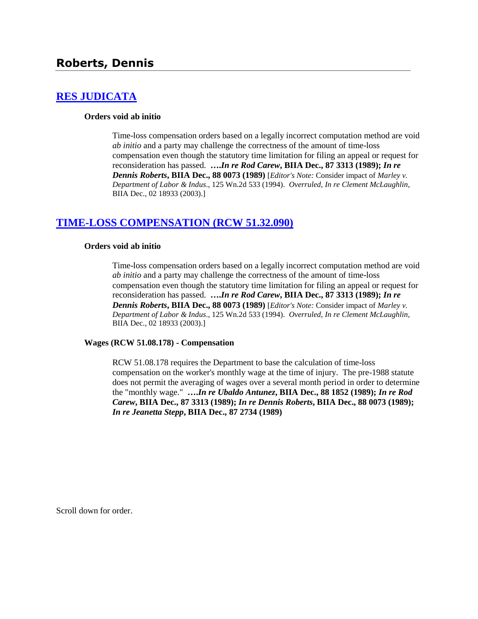# **Roberts, Dennis**

## **[RES JUDICATA](http://www.biia.wa.gov/SDSubjectIndex.html#RES_JUDICATA)**

#### **Orders void ab initio**

Time-loss compensation orders based on a legally incorrect computation method are void *ab initio* and a party may challenge the correctness of the amount of time-loss compensation even though the statutory time limitation for filing an appeal or request for reconsideration has passed. **….***In re Rod Carew***, BIIA Dec., 87 3313 (1989);** *In re Dennis Roberts***, BIIA Dec., 88 0073 (1989)** [*Editor's Note:* Consider impact of *Marley v. Department of Labor & Indus*., 125 Wn.2d 533 (1994). *Overruled*, *In re Clement McLaughlin*, BIIA Dec., 02 18933 (2003).]

## **[TIME-LOSS COMPENSATION \(RCW 51.32.090\)](http://www.biia.wa.gov/SDSubjectIndex.html#TIME_LOSS_COMPENSATION)**

#### **Orders void ab initio**

Time-loss compensation orders based on a legally incorrect computation method are void *ab initio* and a party may challenge the correctness of the amount of time-loss compensation even though the statutory time limitation for filing an appeal or request for reconsideration has passed. **….***In re Rod Carew***, BIIA Dec., 87 3313 (1989);** *In re Dennis Roberts***, BIIA Dec., 88 0073 (1989)** [*Editor's Note:* Consider impact of *Marley v. Department of Labor & Indus*., 125 Wn.2d 533 (1994). *Overruled*, *In re Clement McLaughlin*, BIIA Dec., 02 18933 (2003).]

#### **Wages (RCW 51.08.178) - Compensation**

RCW 51.08.178 requires the Department to base the calculation of time-loss compensation on the worker's monthly wage at the time of injury. The pre-1988 statute does not permit the averaging of wages over a several month period in order to determine the "monthly wage." **….***In re Ubaldo Antunez***, BIIA Dec., 88 1852 (1989);** *In re Rod Carew***, BIIA Dec., 87 3313 (1989);** *In re Dennis Roberts***, BIIA Dec., 88 0073 (1989);**  *In re Jeanetta Stepp***, BIIA Dec., 87 2734 (1989)** 

Scroll down for order.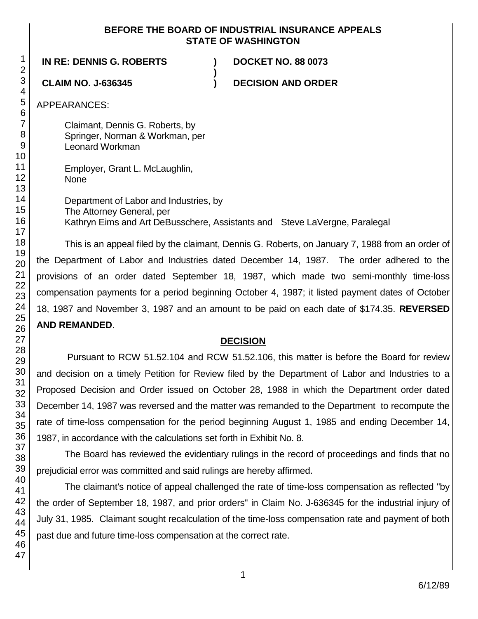#### **BEFORE THE BOARD OF INDUSTRIAL INSURANCE APPEALS STATE OF WASHINGTON**

**)**

#### **IN RE: DENNIS G. ROBERTS ) DOCKET NO. 88 0073**

**CLAIM NO. J-636345 ) DECISION AND ORDER**

APPEARANCES:

Claimant, Dennis G. Roberts, by Springer, Norman & Workman, per Leonard Workman

Employer, Grant L. McLaughlin, **None** 

Department of Labor and Industries, by The Attorney General, per Kathryn Eims and Art DeBusschere, Assistants and Steve LaVergne, Paralegal

This is an appeal filed by the claimant, Dennis G. Roberts, on January 7, 1988 from an order of the Department of Labor and Industries dated December 14, 1987. The order adhered to the provisions of an order dated September 18, 1987, which made two semi-monthly time-loss compensation payments for a period beginning October 4, 1987; it listed payment dates of October 18, 1987 and November 3, 1987 and an amount to be paid on each date of \$174.35. **REVERSED AND REMANDED**.

## **DECISION**

Pursuant to RCW 51.52.104 and RCW 51.52.106, this matter is before the Board for review and decision on a timely Petition for Review filed by the Department of Labor and Industries to a Proposed Decision and Order issued on October 28, 1988 in which the Department order dated December 14, 1987 was reversed and the matter was remanded to the Department to recompute the rate of time-loss compensation for the period beginning August 1, 1985 and ending December 14, 1987, in accordance with the calculations set forth in Exhibit No. 8.

The Board has reviewed the evidentiary rulings in the record of proceedings and finds that no prejudicial error was committed and said rulings are hereby affirmed.

The claimant's notice of appeal challenged the rate of time-loss compensation as reflected "by the order of September 18, 1987, and prior orders" in Claim No. J-636345 for the industrial injury of July 31, 1985. Claimant sought recalculation of the time-loss compensation rate and payment of both past due and future time-loss compensation at the correct rate.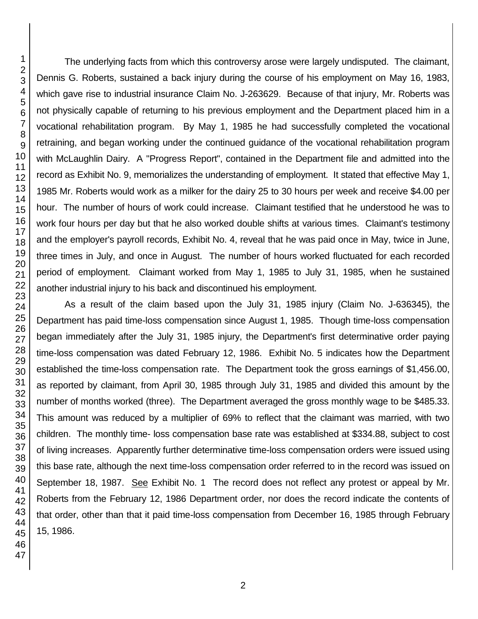The underlying facts from which this controversy arose were largely undisputed. The claimant, Dennis G. Roberts, sustained a back injury during the course of his employment on May 16, 1983, which gave rise to industrial insurance Claim No. J-263629. Because of that injury, Mr. Roberts was not physically capable of returning to his previous employment and the Department placed him in a vocational rehabilitation program. By May 1, 1985 he had successfully completed the vocational retraining, and began working under the continued guidance of the vocational rehabilitation program with McLaughlin Dairy. A "Progress Report", contained in the Department file and admitted into the record as Exhibit No. 9, memorializes the understanding of employment. It stated that effective May 1, 1985 Mr. Roberts would work as a milker for the dairy 25 to 30 hours per week and receive \$4.00 per hour. The number of hours of work could increase. Claimant testified that he understood he was to work four hours per day but that he also worked double shifts at various times. Claimant's testimony and the employer's payroll records, Exhibit No. 4, reveal that he was paid once in May, twice in June, three times in July, and once in August. The number of hours worked fluctuated for each recorded period of employment. Claimant worked from May 1, 1985 to July 31, 1985, when he sustained another industrial injury to his back and discontinued his employment.

As a result of the claim based upon the July 31, 1985 injury (Claim No. J-636345), the Department has paid time-loss compensation since August 1, 1985. Though time-loss compensation began immediately after the July 31, 1985 injury, the Department's first determinative order paying time-loss compensation was dated February 12, 1986. Exhibit No. 5 indicates how the Department established the time-loss compensation rate. The Department took the gross earnings of \$1,456.00, as reported by claimant, from April 30, 1985 through July 31, 1985 and divided this amount by the number of months worked (three). The Department averaged the gross monthly wage to be \$485.33. This amount was reduced by a multiplier of 69% to reflect that the claimant was married, with two children. The monthly time- loss compensation base rate was established at \$334.88, subject to cost of living increases. Apparently further determinative time-loss compensation orders were issued using this base rate, although the next time-loss compensation order referred to in the record was issued on September 18, 1987. See Exhibit No. 1 The record does not reflect any protest or appeal by Mr. Roberts from the February 12, 1986 Department order, nor does the record indicate the contents of that order, other than that it paid time-loss compensation from December 16, 1985 through February 15, 1986.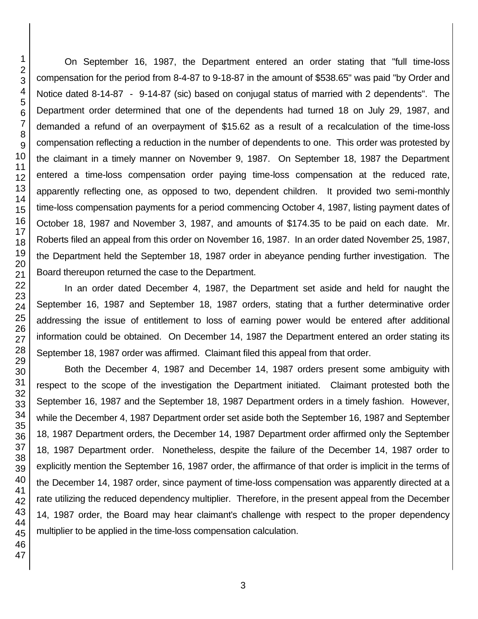On September 16, 1987, the Department entered an order stating that "full time-loss compensation for the period from 8-4-87 to 9-18-87 in the amount of \$538.65" was paid "by Order and Notice dated 8-14-87 - 9-14-87 (sic) based on conjugal status of married with 2 dependents". The Department order determined that one of the dependents had turned 18 on July 29, 1987, and demanded a refund of an overpayment of \$15.62 as a result of a recalculation of the time-loss compensation reflecting a reduction in the number of dependents to one. This order was protested by the claimant in a timely manner on November 9, 1987. On September 18, 1987 the Department entered a time-loss compensation order paying time-loss compensation at the reduced rate, apparently reflecting one, as opposed to two, dependent children. It provided two semi-monthly time-loss compensation payments for a period commencing October 4, 1987, listing payment dates of October 18, 1987 and November 3, 1987, and amounts of \$174.35 to be paid on each date. Mr. Roberts filed an appeal from this order on November 16, 1987. In an order dated November 25, 1987, the Department held the September 18, 1987 order in abeyance pending further investigation. The Board thereupon returned the case to the Department.

In an order dated December 4, 1987, the Department set aside and held for naught the September 16, 1987 and September 18, 1987 orders, stating that a further determinative order addressing the issue of entitlement to loss of earning power would be entered after additional information could be obtained. On December 14, 1987 the Department entered an order stating its September 18, 1987 order was affirmed. Claimant filed this appeal from that order.

Both the December 4, 1987 and December 14, 1987 orders present some ambiguity with respect to the scope of the investigation the Department initiated. Claimant protested both the September 16, 1987 and the September 18, 1987 Department orders in a timely fashion. However, while the December 4, 1987 Department order set aside both the September 16, 1987 and September 18, 1987 Department orders, the December 14, 1987 Department order affirmed only the September 18, 1987 Department order. Nonetheless, despite the failure of the December 14, 1987 order to explicitly mention the September 16, 1987 order, the affirmance of that order is implicit in the terms of the December 14, 1987 order, since payment of time-loss compensation was apparently directed at a rate utilizing the reduced dependency multiplier. Therefore, in the present appeal from the December 14, 1987 order, the Board may hear claimant's challenge with respect to the proper dependency multiplier to be applied in the time-loss compensation calculation.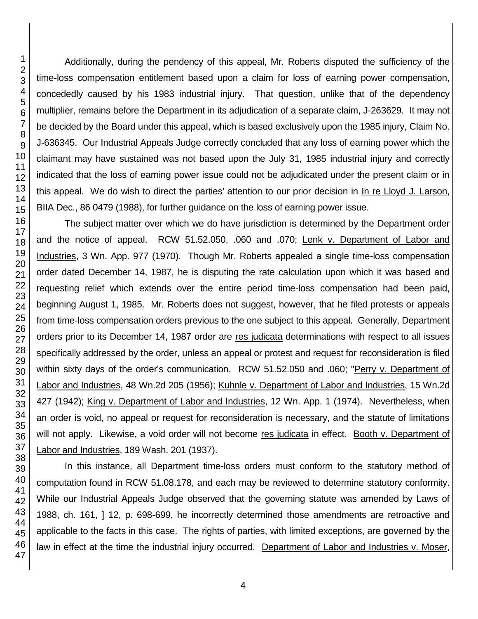Additionally, during the pendency of this appeal, Mr. Roberts disputed the sufficiency of the time-loss compensation entitlement based upon a claim for loss of earning power compensation, concededly caused by his 1983 industrial injury. That question, unlike that of the dependency multiplier, remains before the Department in its adjudication of a separate claim, J-263629. It may not be decided by the Board under this appeal, which is based exclusively upon the 1985 injury, Claim No. J-636345. Our Industrial Appeals Judge correctly concluded that any loss of earning power which the claimant may have sustained was not based upon the July 31, 1985 industrial injury and correctly indicated that the loss of earning power issue could not be adjudicated under the present claim or in this appeal. We do wish to direct the parties' attention to our prior decision in In re Lloyd J. Larson, BIIA Dec., 86 0479 (1988), for further guidance on the loss of earning power issue.

The subject matter over which we do have jurisdiction is determined by the Department order and the notice of appeal. RCW 51.52.050, .060 and .070; Lenk v. Department of Labor and Industries, 3 Wn. App. 977 (1970). Though Mr. Roberts appealed a single time-loss compensation order dated December 14, 1987, he is disputing the rate calculation upon which it was based and requesting relief which extends over the entire period time-loss compensation had been paid, beginning August 1, 1985. Mr. Roberts does not suggest, however, that he filed protests or appeals from time-loss compensation orders previous to the one subject to this appeal. Generally, Department orders prior to its December 14, 1987 order are res judicata determinations with respect to all issues specifically addressed by the order, unless an appeal or protest and request for reconsideration is filed within sixty days of the order's communication. RCW 51.52.050 and .060; "Perry v. Department of Labor and Industries, 48 Wn.2d 205 (1956); Kuhnle v. Department of Labor and Industries, 15 Wn.2d 427 (1942); King v. Department of Labor and Industries, 12 Wn. App. 1 (1974). Nevertheless, when an order is void, no appeal or request for reconsideration is necessary, and the statute of limitations will not apply. Likewise, a void order will not become res judicata in effect. Booth v. Department of Labor and Industries, 189 Wash. 201 (1937).

In this instance, all Department time-loss orders must conform to the statutory method of computation found in RCW 51.08.178, and each may be reviewed to determine statutory conformity. While our Industrial Appeals Judge observed that the governing statute was amended by Laws of 1988, ch. 161, ] 12, p. 698-699, he incorrectly determined those amendments are retroactive and applicable to the facts in this case. The rights of parties, with limited exceptions, are governed by the law in effect at the time the industrial injury occurred. Department of Labor and Industries v. Moser,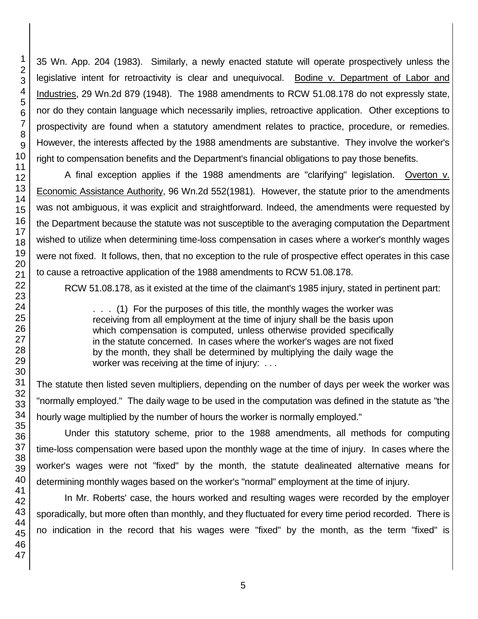35 Wn. App. 204 (1983). Similarly, a newly enacted statute will operate prospectively unless the legislative intent for retroactivity is clear and unequivocal. Bodine v. Department of Labor and Industries, 29 Wn.2d 879 (1948). The 1988 amendments to RCW 51.08.178 do not expressly state, nor do they contain language which necessarily implies, retroactive application. Other exceptions to prospectivity are found when a statutory amendment relates to practice, procedure, or remedies. However, the interests affected by the 1988 amendments are substantive. They involve the worker's right to compensation benefits and the Department's financial obligations to pay those benefits.

A final exception applies if the 1988 amendments are "clarifying" legislation. Overton v. Economic Assistance Authority, 96 Wn.2d 552(1981). However, the statute prior to the amendments was not ambiguous, it was explicit and straightforward. Indeed, the amendments were requested by the Department because the statute was not susceptible to the averaging computation the Department wished to utilize when determining time-loss compensation in cases where a worker's monthly wages were not fixed. It follows, then, that no exception to the rule of prospective effect operates in this case to cause a retroactive application of the 1988 amendments to RCW 51.08.178.

RCW 51.08.178, as it existed at the time of the claimant's 1985 injury, stated in pertinent part:

. . . (1) For the purposes of this title, the monthly wages the worker was receiving from all employment at the time of injury shall be the basis upon which compensation is computed, unless otherwise provided specifically in the statute concerned. In cases where the worker's wages are not fixed by the month, they shall be determined by multiplying the daily wage the worker was receiving at the time of injury: ...

The statute then listed seven multipliers, depending on the number of days per week the worker was "normally employed." The daily wage to be used in the computation was defined in the statute as "the hourly wage multiplied by the number of hours the worker is normally employed."

Under this statutory scheme, prior to the 1988 amendments, all methods for computing time-loss compensation were based upon the monthly wage at the time of injury. In cases where the worker's wages were not "fixed" by the month, the statute dealineated alternative means for determining monthly wages based on the worker's "normal" employment at the time of injury.

In Mr. Roberts' case, the hours worked and resulting wages were recorded by the employer sporadically, but more often than monthly, and they fluctuated for every time period recorded. There is no indication in the record that his wages were "fixed" by the month, as the term "fixed" is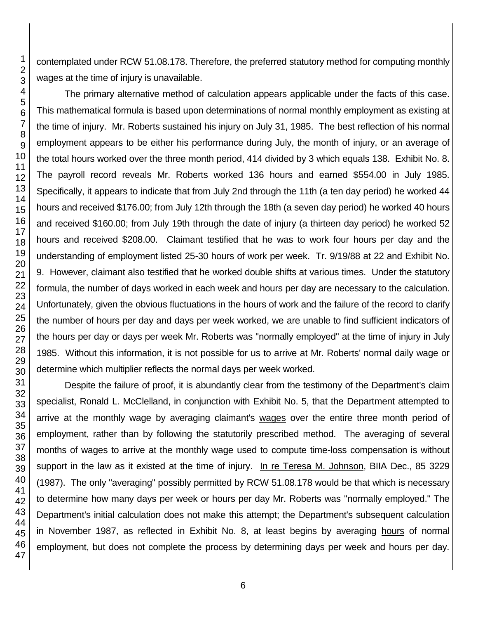contemplated under RCW 51.08.178. Therefore, the preferred statutory method for computing monthly wages at the time of injury is unavailable.

The primary alternative method of calculation appears applicable under the facts of this case. This mathematical formula is based upon determinations of normal monthly employment as existing at the time of injury. Mr. Roberts sustained his injury on July 31, 1985. The best reflection of his normal employment appears to be either his performance during July, the month of injury, or an average of the total hours worked over the three month period, 414 divided by 3 which equals 138. Exhibit No. 8. The payroll record reveals Mr. Roberts worked 136 hours and earned \$554.00 in July 1985. Specifically, it appears to indicate that from July 2nd through the 11th (a ten day period) he worked 44 hours and received \$176.00; from July 12th through the 18th (a seven day period) he worked 40 hours and received \$160.00; from July 19th through the date of injury (a thirteen day period) he worked 52 hours and received \$208.00. Claimant testified that he was to work four hours per day and the understanding of employment listed 25-30 hours of work per week. Tr. 9/19/88 at 22 and Exhibit No. 9. However, claimant also testified that he worked double shifts at various times. Under the statutory formula, the number of days worked in each week and hours per day are necessary to the calculation. Unfortunately, given the obvious fluctuations in the hours of work and the failure of the record to clarify the number of hours per day and days per week worked, we are unable to find sufficient indicators of the hours per day or days per week Mr. Roberts was "normally employed" at the time of injury in July 1985. Without this information, it is not possible for us to arrive at Mr. Roberts' normal daily wage or determine which multiplier reflects the normal days per week worked.

Despite the failure of proof, it is abundantly clear from the testimony of the Department's claim specialist, Ronald L. McClelland, in conjunction with Exhibit No. 5, that the Department attempted to arrive at the monthly wage by averaging claimant's wages over the entire three month period of employment, rather than by following the statutorily prescribed method. The averaging of several months of wages to arrive at the monthly wage used to compute time-loss compensation is without support in the law as it existed at the time of injury. In re Teresa M. Johnson, BIIA Dec., 85 3229 (1987). The only "averaging" possibly permitted by RCW 51.08.178 would be that which is necessary to determine how many days per week or hours per day Mr. Roberts was "normally employed." The Department's initial calculation does not make this attempt; the Department's subsequent calculation in November 1987, as reflected in Exhibit No. 8, at least begins by averaging hours of normal employment, but does not complete the process by determining days per week and hours per day.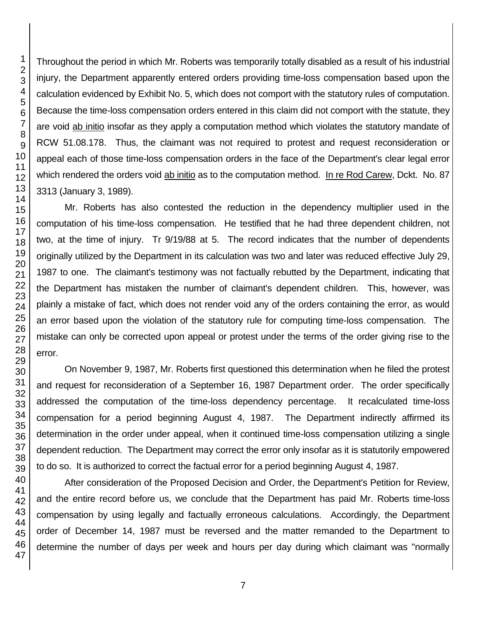Throughout the period in which Mr. Roberts was temporarily totally disabled as a result of his industrial injury, the Department apparently entered orders providing time-loss compensation based upon the calculation evidenced by Exhibit No. 5, which does not comport with the statutory rules of computation. Because the time-loss compensation orders entered in this claim did not comport with the statute, they are void ab initio insofar as they apply a computation method which violates the statutory mandate of RCW 51.08.178. Thus, the claimant was not required to protest and request reconsideration or appeal each of those time-loss compensation orders in the face of the Department's clear legal error which rendered the orders void ab initio as to the computation method. In re Rod Carew, Dckt. No. 87 3313 (January 3, 1989).

Mr. Roberts has also contested the reduction in the dependency multiplier used in the computation of his time-loss compensation. He testified that he had three dependent children, not two, at the time of injury. Tr 9/19/88 at 5. The record indicates that the number of dependents originally utilized by the Department in its calculation was two and later was reduced effective July 29, 1987 to one. The claimant's testimony was not factually rebutted by the Department, indicating that the Department has mistaken the number of claimant's dependent children. This, however, was plainly a mistake of fact, which does not render void any of the orders containing the error, as would an error based upon the violation of the statutory rule for computing time-loss compensation. The mistake can only be corrected upon appeal or protest under the terms of the order giving rise to the error.

On November 9, 1987, Mr. Roberts first questioned this determination when he filed the protest and request for reconsideration of a September 16, 1987 Department order. The order specifically addressed the computation of the time-loss dependency percentage. It recalculated time-loss compensation for a period beginning August 4, 1987. The Department indirectly affirmed its determination in the order under appeal, when it continued time-loss compensation utilizing a single dependent reduction. The Department may correct the error only insofar as it is statutorily empowered to do so. It is authorized to correct the factual error for a period beginning August 4, 1987.

After consideration of the Proposed Decision and Order, the Department's Petition for Review, and the entire record before us, we conclude that the Department has paid Mr. Roberts time-loss compensation by using legally and factually erroneous calculations. Accordingly, the Department order of December 14, 1987 must be reversed and the matter remanded to the Department to determine the number of days per week and hours per day during which claimant was "normally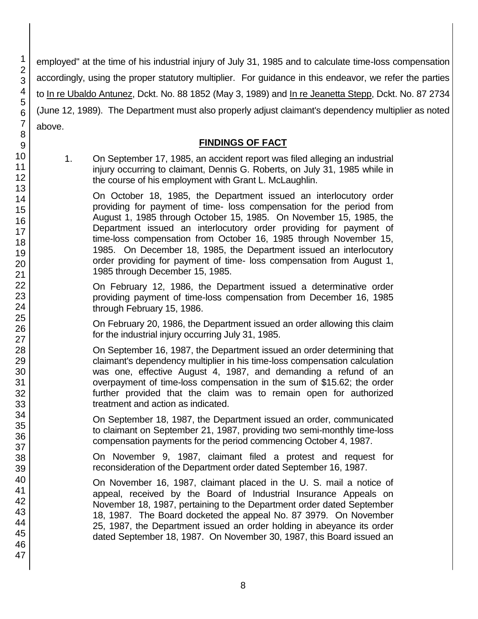employed" at the time of his industrial injury of July 31, 1985 and to calculate time-loss compensation accordingly, using the proper statutory multiplier. For guidance in this endeavor, we refer the parties to In re Ubaldo Antunez, Dckt. No. 88 1852 (May 3, 1989) and In re Jeanetta Stepp, Dckt. No. 87 2734 (June 12, 1989). The Department must also properly adjust claimant's dependency multiplier as noted above.

## **FINDINGS OF FACT**

1. On September 17, 1985, an accident report was filed alleging an industrial injury occurring to claimant, Dennis G. Roberts, on July 31, 1985 while in the course of his employment with Grant L. McLaughlin.

> On October 18, 1985, the Department issued an interlocutory order providing for payment of time- loss compensation for the period from August 1, 1985 through October 15, 1985. On November 15, 1985, the Department issued an interlocutory order providing for payment of time-loss compensation from October 16, 1985 through November 15, 1985. On December 18, 1985, the Department issued an interlocutory order providing for payment of time- loss compensation from August 1, 1985 through December 15, 1985.

> On February 12, 1986, the Department issued a determinative order providing payment of time-loss compensation from December 16, 1985 through February 15, 1986.

> On February 20, 1986, the Department issued an order allowing this claim for the industrial injury occurring July 31, 1985.

> On September 16, 1987, the Department issued an order determining that claimant's dependency multiplier in his time-loss compensation calculation was one, effective August 4, 1987, and demanding a refund of an overpayment of time-loss compensation in the sum of \$15.62; the order further provided that the claim was to remain open for authorized treatment and action as indicated.

> On September 18, 1987, the Department issued an order, communicated to claimant on September 21, 1987, providing two semi-monthly time-loss compensation payments for the period commencing October 4, 1987.

> On November 9, 1987, claimant filed a protest and request for reconsideration of the Department order dated September 16, 1987.

> On November 16, 1987, claimant placed in the U. S. mail a notice of appeal, received by the Board of Industrial Insurance Appeals on November 18, 1987, pertaining to the Department order dated September 18, 1987. The Board docketed the appeal No. 87 3979. On November 25, 1987, the Department issued an order holding in abeyance its order dated September 18, 1987. On November 30, 1987, this Board issued an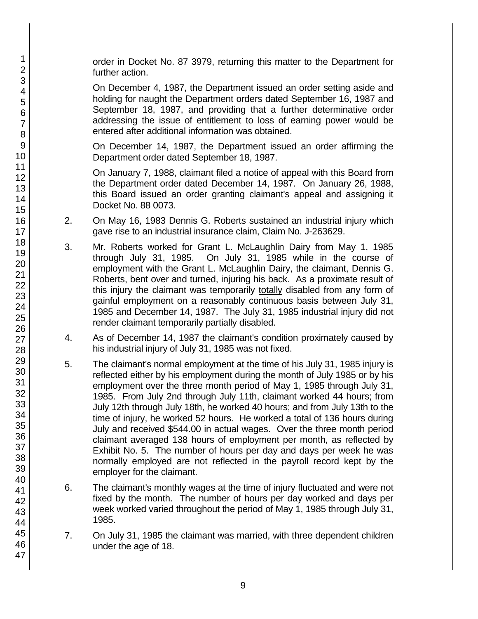order in Docket No. 87 3979, returning this matter to the Department for further action.

On December 4, 1987, the Department issued an order setting aside and holding for naught the Department orders dated September 16, 1987 and September 18, 1987, and providing that a further determinative order addressing the issue of entitlement to loss of earning power would be entered after additional information was obtained.

On December 14, 1987, the Department issued an order affirming the Department order dated September 18, 1987.

On January 7, 1988, claimant filed a notice of appeal with this Board from the Department order dated December 14, 1987. On January 26, 1988, this Board issued an order granting claimant's appeal and assigning it Docket No. 88 0073.

- 2. On May 16, 1983 Dennis G. Roberts sustained an industrial injury which gave rise to an industrial insurance claim, Claim No. J-263629.
- 3. Mr. Roberts worked for Grant L. McLaughlin Dairy from May 1, 1985 through July 31, 1985. On July 31, 1985 while in the course of employment with the Grant L. McLaughlin Dairy, the claimant, Dennis G. Roberts, bent over and turned, injuring his back. As a proximate result of this injury the claimant was temporarily totally disabled from any form of gainful employment on a reasonably continuous basis between July 31, 1985 and December 14, 1987. The July 31, 1985 industrial injury did not render claimant temporarily partially disabled.
- 4. As of December 14, 1987 the claimant's condition proximately caused by his industrial injury of July 31, 1985 was not fixed.
- 5. The claimant's normal employment at the time of his July 31, 1985 injury is reflected either by his employment during the month of July 1985 or by his employment over the three month period of May 1, 1985 through July 31, 1985. From July 2nd through July 11th, claimant worked 44 hours; from July 12th through July 18th, he worked 40 hours; and from July 13th to the time of injury, he worked 52 hours. He worked a total of 136 hours during July and received \$544.00 in actual wages. Over the three month period claimant averaged 138 hours of employment per month, as reflected by Exhibit No. 5. The number of hours per day and days per week he was normally employed are not reflected in the payroll record kept by the employer for the claimant.
- 6. The claimant's monthly wages at the time of injury fluctuated and were not fixed by the month. The number of hours per day worked and days per week worked varied throughout the period of May 1, 1985 through July 31, 1985.
- 7. On July 31, 1985 the claimant was married, with three dependent children under the age of 18.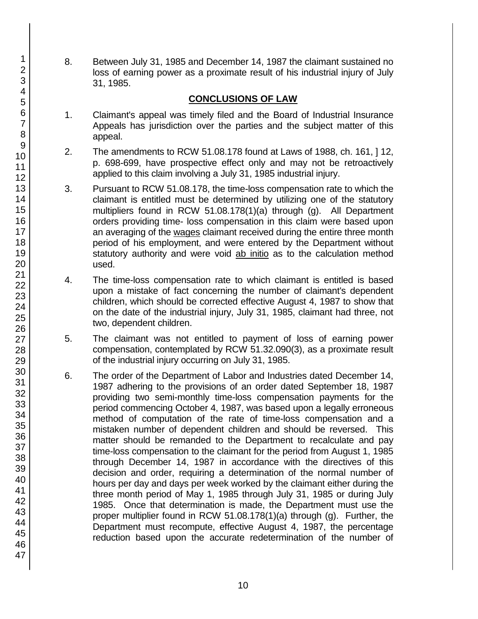8. Between July 31, 1985 and December 14, 1987 the claimant sustained no loss of earning power as a proximate result of his industrial injury of July 31, 1985.

## **CONCLUSIONS OF LAW**

- 1. Claimant's appeal was timely filed and the Board of Industrial Insurance Appeals has jurisdiction over the parties and the subject matter of this appeal.
- 2. The amendments to RCW 51.08.178 found at Laws of 1988, ch. 161, ] 12, p. 698-699, have prospective effect only and may not be retroactively applied to this claim involving a July 31, 1985 industrial injury.
- 3. Pursuant to RCW 51.08.178, the time-loss compensation rate to which the claimant is entitled must be determined by utilizing one of the statutory multipliers found in RCW 51.08.178(1)(a) through (g). All Department orders providing time- loss compensation in this claim were based upon an averaging of the wages claimant received during the entire three month period of his employment, and were entered by the Department without statutory authority and were void ab initio as to the calculation method used.
- 4. The time-loss compensation rate to which claimant is entitled is based upon a mistake of fact concerning the number of claimant's dependent children, which should be corrected effective August 4, 1987 to show that on the date of the industrial injury, July 31, 1985, claimant had three, not two, dependent children.
- 5. The claimant was not entitled to payment of loss of earning power compensation, contemplated by RCW 51.32.090(3), as a proximate result of the industrial injury occurring on July 31, 1985.
- 6. The order of the Department of Labor and Industries dated December 14, 1987 adhering to the provisions of an order dated September 18, 1987 providing two semi-monthly time-loss compensation payments for the period commencing October 4, 1987, was based upon a legally erroneous method of computation of the rate of time-loss compensation and a mistaken number of dependent children and should be reversed. This matter should be remanded to the Department to recalculate and pay time-loss compensation to the claimant for the period from August 1, 1985 through December 14, 1987 in accordance with the directives of this decision and order, requiring a determination of the normal number of hours per day and days per week worked by the claimant either during the three month period of May 1, 1985 through July 31, 1985 or during July 1985. Once that determination is made, the Department must use the proper multiplier found in RCW 51.08.178(1)(a) through (g). Further, the Department must recompute, effective August 4, 1987, the percentage reduction based upon the accurate redetermination of the number of